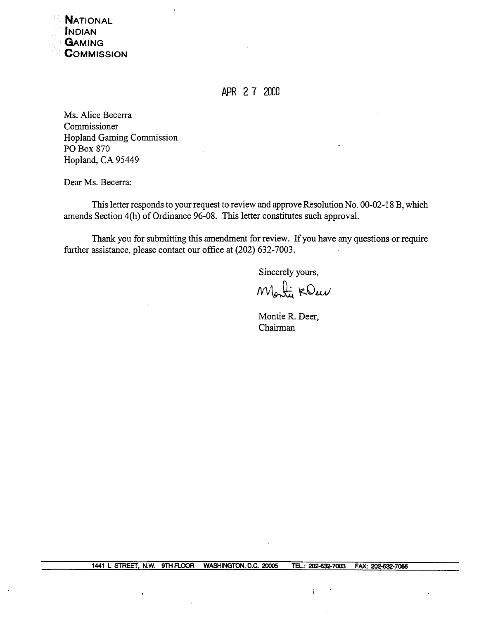

APR 2 7 2000

Ms. Alice Becerra Commissioner Hopland Gaming Commission PO Box 870 Hopland, CA 95449

Dear Ms. Becerra:

This letter responds to your request to review and approve Resolution No. 00-02-18 B, which amends Section 4(h) of Ordinance 96-08. This letter constitutes such approval.

Thank you for submitting this amendment for review. If you have any questions or require further assistance, please contact our office at (202) 632-7003.

Sincerely yours,

Monty KOur

Montie R. Deer, Chairman

÷